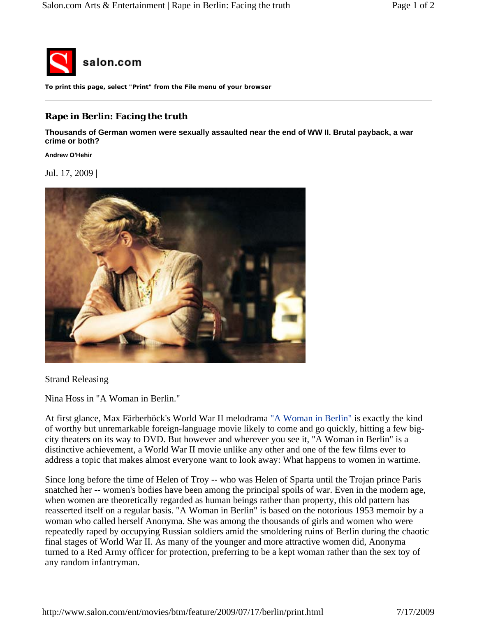

**To print this page, select "Print" from the File menu of your browser**

## **Rape in Berlin: Facing the truth**

**Thousands of German women were sexually assaulted near the end of WW II. Brutal payback, a war crime or both?** 

**Andrew O'Hehir**

Jul. 17, 2009 |



Strand Releasing

Nina Hoss in "A Woman in Berlin."

At first glance, Max Färberböck's World War II melodrama "A Woman in Berlin" is exactly the kind of worthy but unremarkable foreign-language movie likely to come and go quickly, hitting a few bigcity theaters on its way to DVD. But however and wherever you see it, "A Woman in Berlin" is a distinctive achievement, a World War II movie unlike any other and one of the few films ever to address a topic that makes almost everyone want to look away: What happens to women in wartime.

Since long before the time of Helen of Troy -- who was Helen of Sparta until the Trojan prince Paris snatched her -- women's bodies have been among the principal spoils of war. Even in the modern age, when women are theoretically regarded as human beings rather than property, this old pattern has reasserted itself on a regular basis. "A Woman in Berlin" is based on the notorious 1953 memoir by a woman who called herself Anonyma. She was among the thousands of girls and women who were repeatedly raped by occupying Russian soldiers amid the smoldering ruins of Berlin during the chaotic final stages of World War II. As many of the younger and more attractive women did, Anonyma turned to a Red Army officer for protection, preferring to be a kept woman rather than the sex toy of any random infantryman.